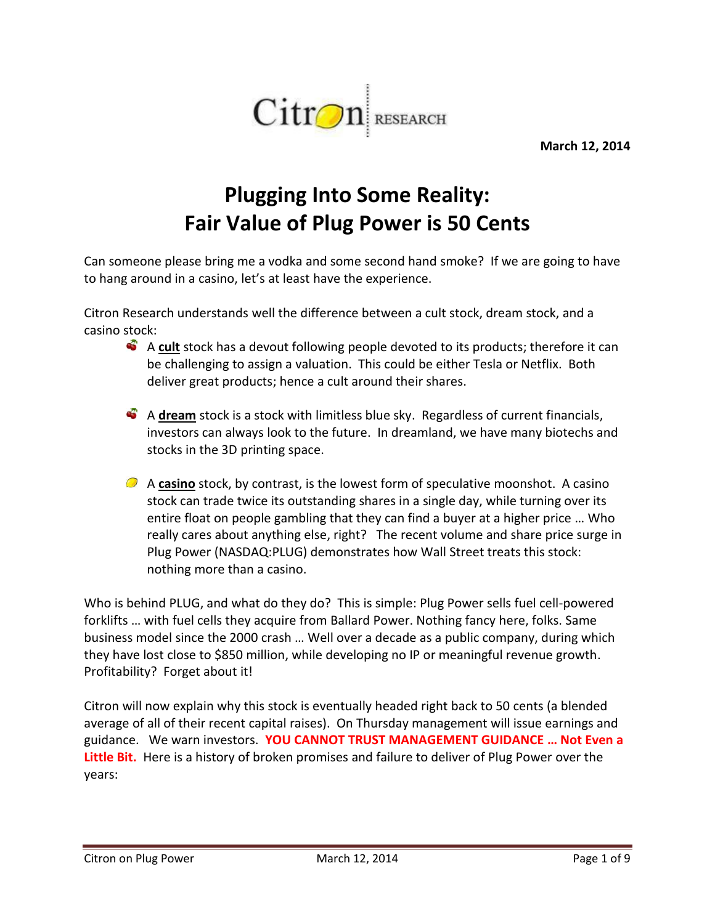

**March 12, 2014**

# **Plugging Into Some Reality: Fair Value of Plug Power is 50 Cents**

Can someone please bring me a vodka and some second hand smoke? If we are going to have to hang around in a casino, let's at least have the experience.

Citron Research understands well the difference between a cult stock, dream stock, and a casino stock:

- A cult stock has a devout following people devoted to its products; therefore it can be challenging to assign a valuation. This could be either Tesla or Netflix. Both deliver great products; hence a cult around their shares.
- A **dream** stock is a stock with limitless blue sky. Regardless of current financials, investors can always look to the future. In dreamland, we have many biotechs and stocks in the 3D printing space.
- A **casino** stock, by contrast, is the lowest form of speculative moonshot. A casino stock can trade twice its outstanding shares in a single day, while turning over its entire float on people gambling that they can find a buyer at a higher price … Who really cares about anything else, right? The recent volume and share price surge in Plug Power (NASDAQ:PLUG) demonstrates how Wall Street treats this stock: nothing more than a casino.

Who is behind PLUG, and what do they do? This is simple: Plug Power sells fuel cell-powered forklifts … with fuel cells they acquire from Ballard Power. Nothing fancy here, folks. Same business model since the 2000 crash … Well over a decade as a public company, during which they have lost close to \$850 million, while developing no IP or meaningful revenue growth. Profitability? Forget about it!

Citron will now explain why this stock is eventually headed right back to 50 cents (a blended average of all of their recent capital raises). On Thursday management will issue earnings and guidance. We warn investors. **YOU CANNOT TRUST MANAGEMENT GUIDANCE … Not Even a Little Bit.** Here is a history of broken promises and failure to deliver of Plug Power over the years: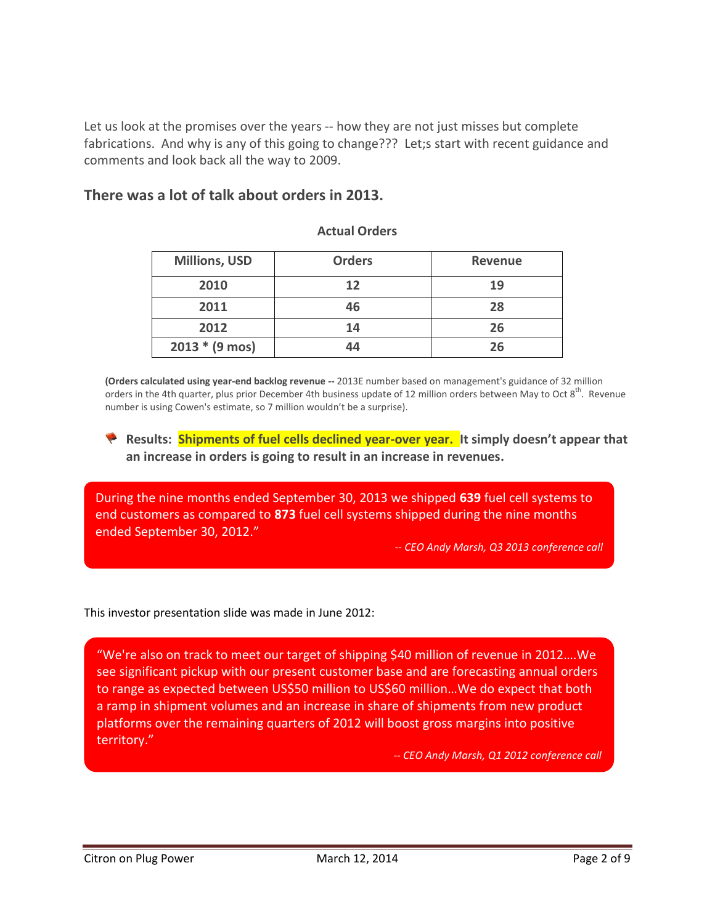Let us look at the promises over the years -- how they are not just misses but complete fabrications. And why is any of this going to change??? Let;s start with recent guidance and comments and look back all the way to 2009.

#### **There was a lot of talk about orders in 2013.**

| <b>Millions, USD</b>     | <b>Orders</b> | <b>Revenue</b> |
|--------------------------|---------------|----------------|
| 2010                     | 12            | 19             |
| 2011                     | 46            | 28             |
| 2012                     | 14            | 26             |
| $2013 * (9 \text{ mos})$ | 44            | 26             |

#### **Actual Orders**

**(Orders calculated using year-end backlog revenue --** 2013E number based on management's guidance of 32 million orders in the 4th quarter, plus prior December 4th business update of 12 million orders between May to Oct  $8^{th}$ . Revenue number is using Cowen's estimate, so 7 million wouldn't be a surprise).

**Results: Shipments of fuel cells declined year-over year.** It simply doesn't appear that **an increase in orders is going to result in an increase in revenues.**

During the nine months ended September 30, 2013 we shipped **639** fuel cell systems to end customers as compared to **873** fuel cell systems shipped during the nine months ended September 30, 2012."

*-- CEO Andy Marsh, Q3 2013 conference call*

This investor presentation slide was made in June 2012:

"We're also on track to meet our target of shipping \$40 million of revenue in 2012….We see significant pickup with our present customer base and are forecasting annual orders to range as expected between US\$50 million to US\$60 million…We do expect that both a ramp in shipment volumes and an increase in share of shipments from new product platforms over the remaining quarters of 2012 will boost gross margins into positive territory."

*-- CEO Andy Marsh, Q1 2012 conference call*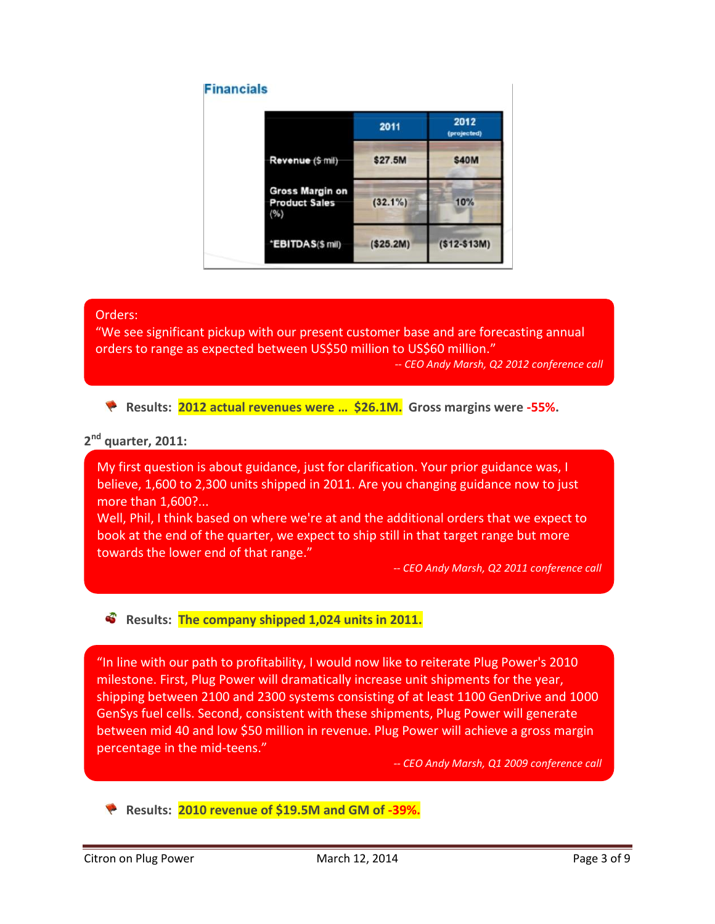

#### Orders:

"We see significant pickup with our present customer base and are forecasting annual orders to range as expected between US\$50 million to US\$60 million."

*-- CEO Andy Marsh, Q2 2012 conference call*

**Results: 2012 actual revenues were … \$26.1M. Gross margins were -55%.**

#### **2 nd quarter, 2011:**

My first question is about guidance, just for clarification. Your prior guidance was, I believe, 1,600 to 2,300 units shipped in 2011. Are you changing guidance now to just more than 1,600?...

Well, Phil, I think based on where we're at and the additional orders that we expect to book at the end of the quarter, we expect to ship still in that target range but more towards the lower end of that range."

*-- CEO Andy Marsh, Q2 2011 conference call*

#### **B** Results: The company shipped 1,024 units in 2011.

"In line with our path to profitability, I would now like to reiterate Plug Power's 2010 milestone. First, Plug Power will dramatically increase unit shipments for the year, shipping between 2100 and 2300 systems consisting of at least 1100 GenDrive and 1000 GenSys fuel cells. Second, consistent with these shipments, Plug Power will generate between mid 40 and low \$50 million in revenue. Plug Power will achieve a gross margin percentage in the mid-teens."

*-- CEO Andy Marsh, Q1 2009 conference call*

**Results: 2010 revenue of \$19.5M and GM of -39%.**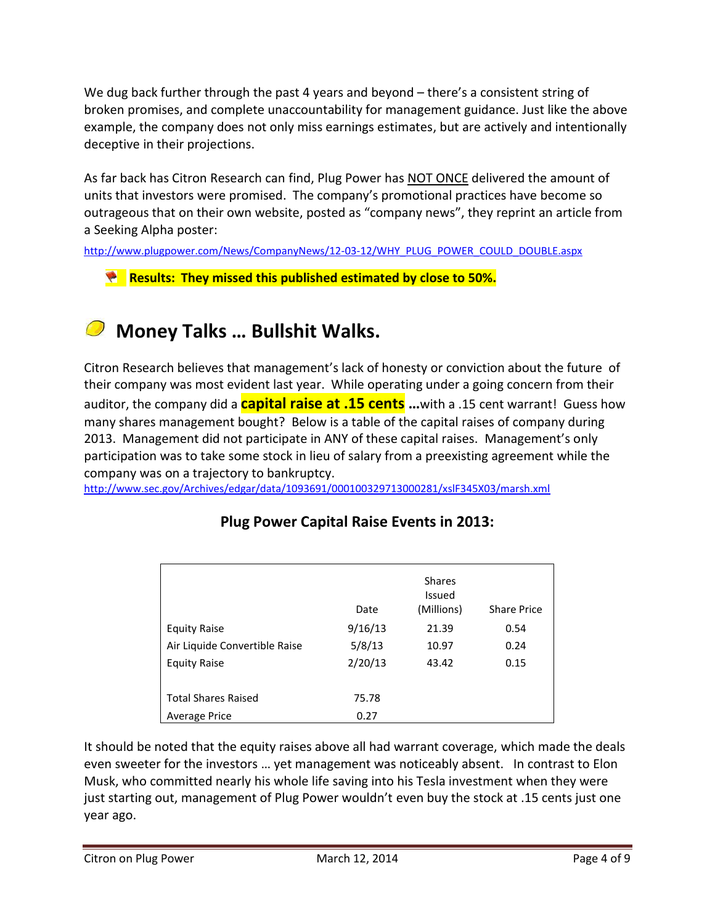We dug back further through the past 4 years and beyond – there's a consistent string of broken promises, and complete unaccountability for management guidance. Just like the above example, the company does not only miss earnings estimates, but are actively and intentionally deceptive in their projections.

As far back has Citron Research can find, Plug Power has NOT ONCE delivered the amount of units that investors were promised. The company's promotional practices have become so outrageous that on their own website, posted as "company news", they reprint an article from a Seeking Alpha poster:

[http://www.plugpower.com/News/CompanyNews/12-03-12/WHY\\_PLUG\\_POWER\\_COULD\\_DOUBLE.aspx](http://www.plugpower.com/News/CompanyNews/12-03-12/WHY_PLUG_POWER_COULD_DOUBLE.aspx)

**Results: They missed this published estimated by close to 50%.**

## **Money Talks … Bullshit Walks.**

Citron Research believes that management's lack of honesty or conviction about the future of their company was most evident last year. While operating under a going concern from their auditor, the company did a **capital raise at .15 cents …**with a .15 cent warrant! Guess how many shares management bought? Below is a table of the capital raises of company during 2013. Management did not participate in ANY of these capital raises. Management's only participation was to take some stock in lieu of salary from a preexisting agreement while the company was on a trajectory to bankruptcy.

<http://www.sec.gov/Archives/edgar/data/1093691/000100329713000281/xslF345X03/marsh.xml>

|                               | Date    | <b>Shares</b><br><b>Issued</b><br>(Millions) | <b>Share Price</b> |
|-------------------------------|---------|----------------------------------------------|--------------------|
| <b>Equity Raise</b>           | 9/16/13 | 21.39                                        | 0.54               |
| Air Liquide Convertible Raise | 5/8/13  | 10.97                                        | 0.24               |
| <b>Equity Raise</b>           | 2/20/13 | 43.42                                        | 0.15               |
|                               |         |                                              |                    |
| <b>Total Shares Raised</b>    | 75.78   |                                              |                    |
| <b>Average Price</b>          | 0.27    |                                              |                    |

#### **Plug Power Capital Raise Events in 2013:**

It should be noted that the equity raises above all had warrant coverage, which made the deals even sweeter for the investors … yet management was noticeably absent. In contrast to Elon Musk, who committed nearly his whole life saving into his Tesla investment when they were just starting out, management of Plug Power wouldn't even buy the stock at .15 cents just one year ago.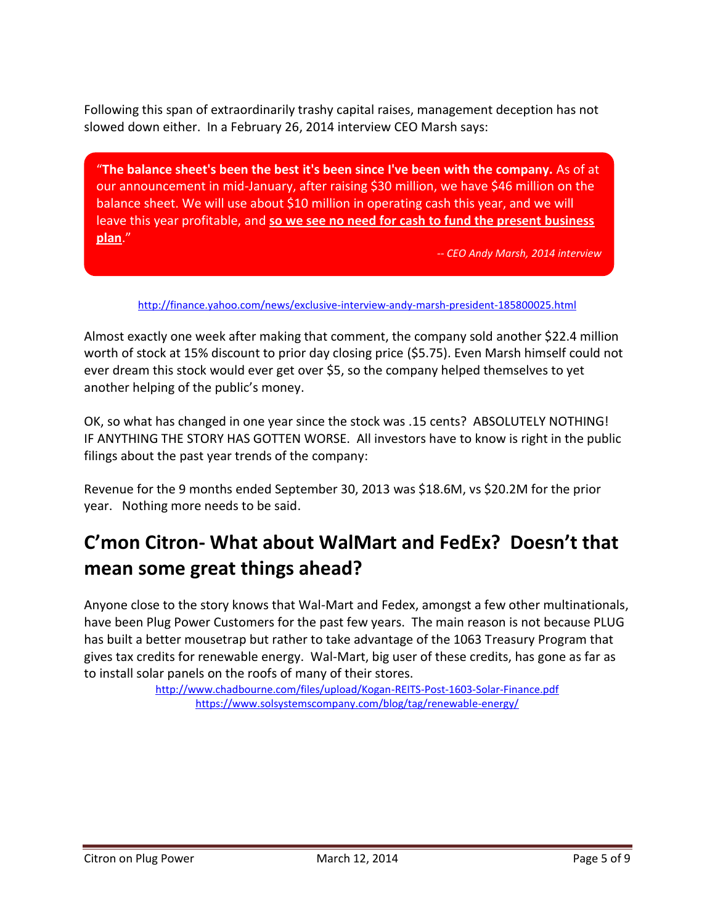Following this span of extraordinarily trashy capital raises, management deception has not slowed down either. In a February 26, 2014 interview CEO Marsh says:

"**The balance sheet's been the best it's been since I've been with the company.** As of at our announcement in mid-January, after raising \$30 million, we have \$46 million on the balance sheet. We will use about \$10 million in operating cash this year, and we will leave this year profitable, and **so we see no need for cash to fund the present business plan**."

*-- CEO Andy Marsh, 2014 interview*

<http://finance.yahoo.com/news/exclusive-interview-andy-marsh-president-185800025.html>

Almost exactly one week after making that comment, the company sold another \$22.4 million worth of stock at 15% discount to prior day closing price (\$5.75). Even Marsh himself could not ever dream this stock would ever get over \$5, so the company helped themselves to yet another helping of the public's money.

OK, so what has changed in one year since the stock was .15 cents? ABSOLUTELY NOTHING! IF ANYTHING THE STORY HAS GOTTEN WORSE. All investors have to know is right in the public filings about the past year trends of the company:

Revenue for the 9 months ended September 30, 2013 was \$18.6M, vs \$20.2M for the prior year. Nothing more needs to be said.

### **C'mon Citron- What about WalMart and FedEx? Doesn't that mean some great things ahead?**

Anyone close to the story knows that Wal-Mart and Fedex, amongst a few other multinationals, have been Plug Power Customers for the past few years. The main reason is not because PLUG has built a better mousetrap but rather to take advantage of the 1063 Treasury Program that gives tax credits for renewable energy. Wal-Mart, big user of these credits, has gone as far as to install solar panels on the roofs of many of their stores.

> <http://www.chadbourne.com/files/upload/Kogan-REITS-Post-1603-Solar-Finance.pdf> <https://www.solsystemscompany.com/blog/tag/renewable-energy/>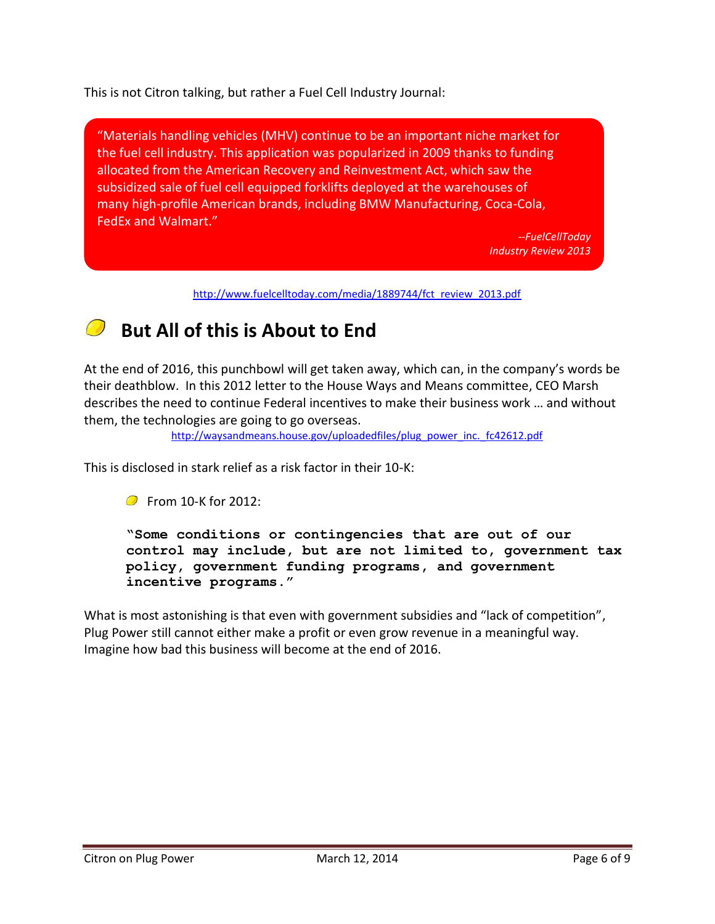This is not Citron talking, but rather a Fuel Cell Industry Journal:

"Materials handling vehicles (MHV) continue to be an important niche market for the fuel cell industry. This application was popularized in 2009 thanks to funding allocated from the American Recovery and Reinvestment Act, which saw the subsidized sale of fuel cell equipped forklifts deployed at the warehouses of many high-profile American brands, including BMW Manufacturing, Coca-Cola, FedEx and Walmart."

> *--FuelCellToday Industry Review 2013*

[http://www.fuelcelltoday.com/media/1889744/fct\\_review\\_2013.pdf](http://www.fuelcelltoday.com/media/1889744/fct_review_2013.pdf)

### **But All of this is About to End**

At the end of 2016, this punchbowl will get taken away, which can, in the company's words be their deathblow. In this 2012 letter to the House Ways and Means committee, CEO Marsh describes the need to continue Federal incentives to make their business work … and without them, the technologies are going to go overseas.

[http://waysandmeans.house.gov/uploadedfiles/plug\\_power\\_inc.\\_fc42612.pdf](http://waysandmeans.house.gov/uploadedfiles/plug_power_inc._fc42612.pdf)

This is disclosed in stark relief as a risk factor in their 10-K:

**C** From 10-K for 2012:

**"Some conditions or contingencies that are out of our control may include, but are not limited to, government tax policy, government funding programs, and government incentive programs."**

What is most astonishing is that even with government subsidies and "lack of competition", Plug Power still cannot either make a profit or even grow revenue in a meaningful way. Imagine how bad this business will become at the end of 2016.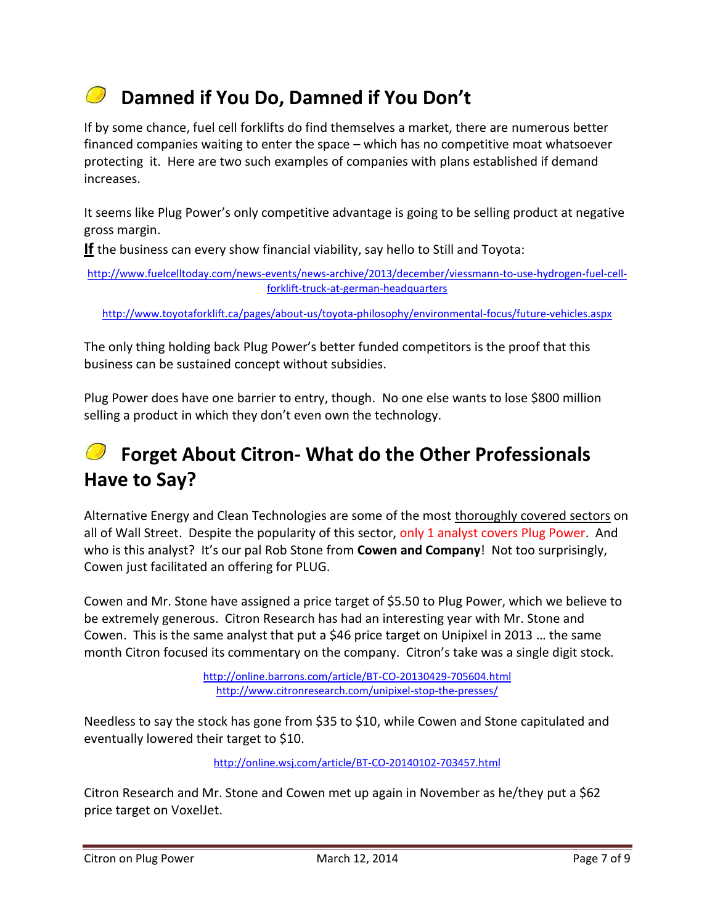# **Damned if You Do, Damned if You Don't**

If by some chance, fuel cell forklifts do find themselves a market, there are numerous better financed companies waiting to enter the space – which has no competitive moat whatsoever protecting it. Here are two such examples of companies with plans established if demand increases.

It seems like Plug Power's only competitive advantage is going to be selling product at negative gross margin.

**If** the business can every show financial viability, say hello to Still and Toyota:

[http://www.fuelcelltoday.com/news-events/news-archive/2013/december/viessmann-to-use-hydrogen-fuel-cell](http://www.fuelcelltoday.com/news-events/news-archive/2013/december/viessmann-to-use-hydrogen-fuel-cell-forklift-truck-at-german-headquarters)[forklift-truck-at-german-headquarters](http://www.fuelcelltoday.com/news-events/news-archive/2013/december/viessmann-to-use-hydrogen-fuel-cell-forklift-truck-at-german-headquarters)

<http://www.toyotaforklift.ca/pages/about-us/toyota-philosophy/environmental-focus/future-vehicles.aspx>

The only thing holding back Plug Power's better funded competitors is the proof that this business can be sustained concept without subsidies.

Plug Power does have one barrier to entry, though. No one else wants to lose \$800 million selling a product in which they don't even own the technology.

## **Forget About Citron- What do the Other Professionals Have to Say?**

Alternative Energy and Clean Technologies are some of the most thoroughly covered sectors on all of Wall Street. Despite the popularity of this sector, only 1 analyst covers Plug Power. And who is this analyst? It's our pal Rob Stone from **Cowen and Company**! Not too surprisingly, Cowen just facilitated an offering for PLUG.

Cowen and Mr. Stone have assigned a price target of \$5.50 to Plug Power, which we believe to be extremely generous. Citron Research has had an interesting year with Mr. Stone and Cowen. This is the same analyst that put a \$46 price target on Unipixel in 2013 … the same month Citron focused its commentary on the company. Citron's take was a single digit stock.

> <http://online.barrons.com/article/BT-CO-20130429-705604.html> <http://www.citronresearch.com/unipixel-stop-the-presses/>

Needless to say the stock has gone from \$35 to \$10, while Cowen and Stone capitulated and eventually lowered their target to \$10.

<http://online.wsj.com/article/BT-CO-20140102-703457.html>

Citron Research and Mr. Stone and Cowen met up again in November as he/they put a \$62 price target on VoxelJet.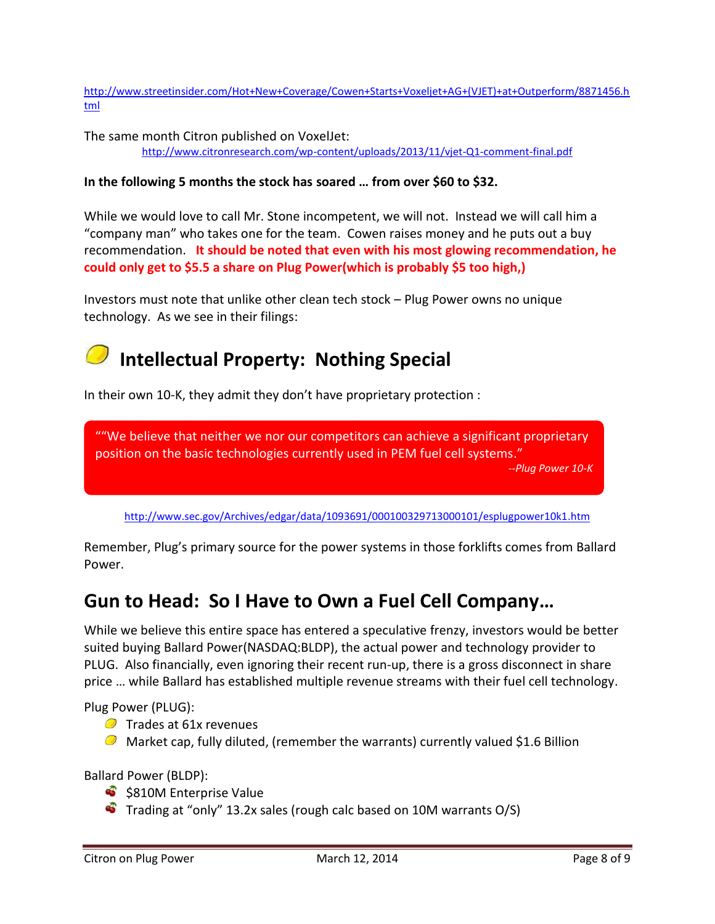[http://www.streetinsider.com/Hot+New+Coverage/Cowen+Starts+Voxeljet+AG+\(VJET\)+at+Outperform/8871456.h](http://www.streetinsider.com/Hot+New+Coverage/Cowen+Starts+Voxeljet+AG+(VJET)+at+Outperform/8871456.html) [tml](http://www.streetinsider.com/Hot+New+Coverage/Cowen+Starts+Voxeljet+AG+(VJET)+at+Outperform/8871456.html)

The same month Citron published on VoxelJet: <http://www.citronresearch.com/wp-content/uploads/2013/11/vjet-Q1-comment-final.pdf>

#### **In the following 5 months the stock has soared … from over \$60 to \$32.**

While we would love to call Mr. Stone incompetent, we will not. Instead we will call him a "company man" who takes one for the team. Cowen raises money and he puts out a buy recommendation. **It should be noted that even with his most glowing recommendation, he could only get to \$5.5 a share on Plug Power(which is probably \$5 too high,)**

Investors must note that unlike other clean tech stock – Plug Power owns no unique technology. As we see in their filings:

# **Intellectual Property: Nothing Special**

In their own 10-K, they admit they don't have proprietary protection :

""We believe that neither we nor our competitors can achieve a significant proprietary position on the basic technologies currently used in PEM fuel cell systems."

*--Plug Power 10-K*

<http://www.sec.gov/Archives/edgar/data/1093691/000100329713000101/esplugpower10k1.htm>

Remember, Plug's primary source for the power systems in those forklifts comes from Ballard Power.

### **Gun to Head: So I Have to Own a Fuel Cell Company…**

While we believe this entire space has entered a speculative frenzy, investors would be better suited buying Ballard Power(NASDAQ:BLDP), the actual power and technology provider to PLUG. Also financially, even ignoring their recent run-up, there is a gross disconnect in share price … while Ballard has established multiple revenue streams with their fuel cell technology.

Plug Power (PLUG):

- $\bullet$  Trades at 61x revenues
- $\odot$  Market cap, fully diluted, (remember the warrants) currently valued \$1.6 Billion

Ballard Power (BLDP):

- \$\,\$810M Enterprise Value
- $\bullet$  Trading at "only" 13.2x sales (rough calc based on 10M warrants O/S)